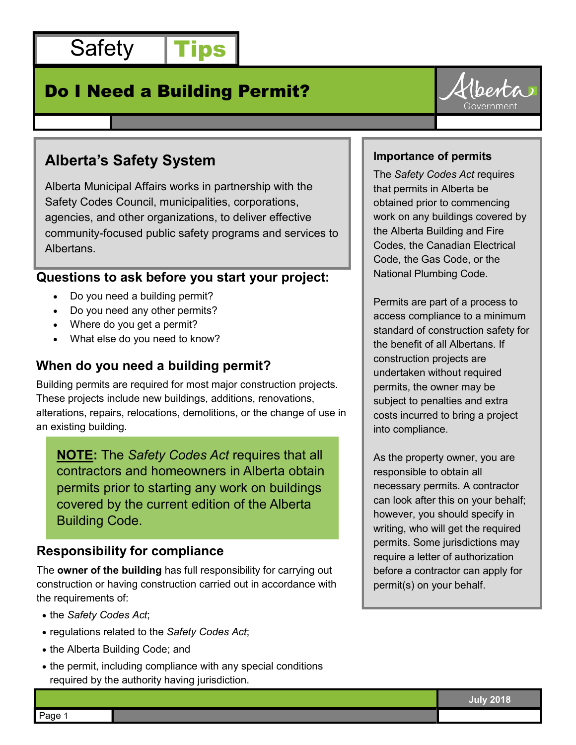

# Do I Need a Building Permit?



# **Alberta's Safety System**

Alberta Municipal Affairs works in partnership with the Safety Codes Council, municipalities, corporations, agencies, and other organizations, to deliver effective community-focused public safety programs and services to Albertans.

## **Questions to ask before you start your project:**

- Do you need a building permit?
- Do you need any other permits?
- Where do you get a permit?
- What else do you need to know?

### **When do you need a building permit?**

Building permits are required for most major construction projects. These projects include new buildings, additions, renovations, alterations, repairs, relocations, demolitions, or the change of use in an existing building.

**NOTE:** The *Safety Codes Act* requires that all contractors and homeowners in Alberta obtain permits prior to starting any work on buildings covered by the current edition of the Alberta Building Code.

### **Responsibility for compliance**

The **owner of the building** has full responsibility for carrying out construction or having construction carried out in accordance with the requirements of:

- the *Safety Codes Act*;
- regulations related to the *Safety Codes Act*;
- the Alberta Building Code; and
- the permit, including compliance with any special conditions required by the authority having jurisdiction.

#### **Importance of permits**

The *Safety Codes Act* requires that permits in Alberta be obtained prior to commencing work on any buildings covered by the Alberta Building and Fire Codes, the Canadian Electrical Code, the Gas Code, or the National Plumbing Code.

Permits are part of a process to access compliance to a minimum standard of construction safety for the benefit of all Albertans. If construction projects are undertaken without required permits, the owner may be subject to penalties and extra costs incurred to bring a project into compliance.

As the property owner, you are responsible to obtain all necessary permits. A contractor can look after this on your behalf; however, you should specify in writing, who will get the required permits. Some jurisdictions may require a letter of authorization before a contractor can apply for permit(s) on your behalf.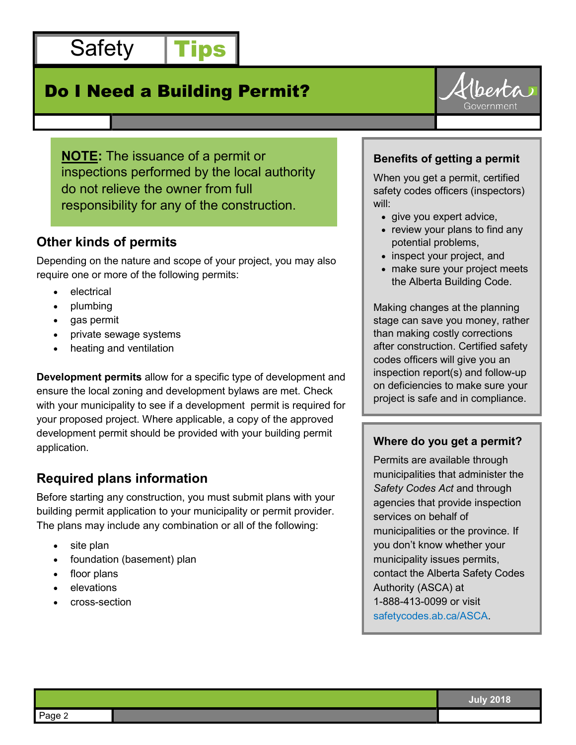Safety | Tips

# Do I Need a Building Permit?



**NOTE:** The issuance of a permit or inspections performed by the local authority do not relieve the owner from full responsibility for any of the construction.

# **Other kinds of permits**

Depending on the nature and scope of your project, you may also require one or more of the following permits:

- electrical
- plumbing
- gas permit
- private sewage systems
- heating and ventilation

**Development permits** allow for a specific type of development and ensure the local zoning and development bylaws are met. Check with your municipality to see if a development permit is required for your proposed project. Where applicable, a copy of the approved development permit should be provided with your building permit application.

# **Required plans information**

Before starting any construction, you must submit plans with your building permit application to your municipality or permit provider. The plans may include any combination or all of the following:

- site plan
- foundation (basement) plan
- floor plans
- elevations
- cross-section

### **Benefits of getting a permit**

When you get a permit, certified safety codes officers (inspectors) will:

- give you expert advice,
- review your plans to find any potential problems,
- inspect your project, and
- make sure your project meets the Alberta Building Code.

Making changes at the planning stage can save you money, rather than making costly corrections after construction. Certified safety codes officers will give you an inspection report(s) and follow-up on deficiencies to make sure your project is safe and in compliance.

### **Where do you get a permit?**

Permits are available through municipalities that administer the *Safety Codes Act* and through agencies that provide inspection services on behalf of municipalities or the province. If you don't know whether your municipality issues permits, contact the Alberta Safety Codes Authority (ASCA) at 1-888-413-0099 or visit safetycodes.ab.ca/ASCA.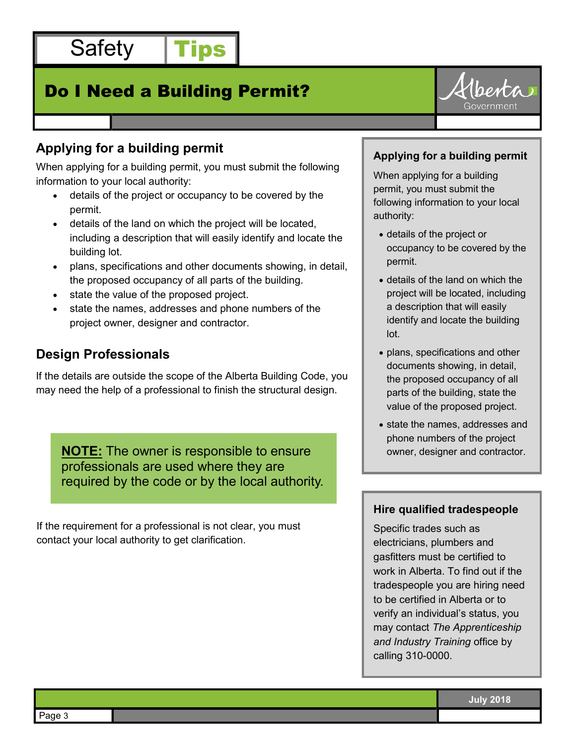

# Do I Need a Building Permit?



# **Applying for a building permit**

When applying for a building permit, you must submit the following information to your local authority:

- details of the project or occupancy to be covered by the permit.
- details of the land on which the project will be located, including a description that will easily identify and locate the building lot.
- plans, specifications and other documents showing, in detail, the proposed occupancy of all parts of the building.
- state the value of the proposed project.
- state the names, addresses and phone numbers of the project owner, designer and contractor.

## **Design Professionals**

If the details are outside the scope of the Alberta Building Code, you may need the help of a professional to finish the structural design.

**NOTE:** The owner is responsible to ensure professionals are used where they are required by the code or by the local authority.

If the requirement for a professional is not clear, you must contact your local authority to get clarification.

#### **Applying for a building permit**

When applying for a building permit, you must submit the following information to your local authority:

- details of the project or occupancy to be covered by the permit.
- details of the land on which the project will be located, including a description that will easily identify and locate the building lot.
- plans, specifications and other documents showing, in detail, the proposed occupancy of all parts of the building, state the value of the proposed project.
- state the names, addresses and phone numbers of the project owner, designer and contractor.

#### **Hire qualified tradespeople**

Specific trades such as electricians, plumbers and gasfitters must be certified to work in Alberta. To find out if the tradespeople you are hiring need to be certified in Alberta or to verify an individual's status, you may contact *The Apprenticeship and Industry Training* office by calling 310-0000.